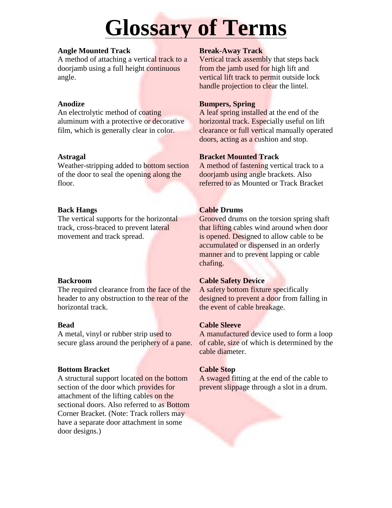# **Glossary of Terms**

## **Angle Mounted Track**

A method of attaching a vertical track to a doorjamb using a full height continuous angle.

# **Anodize**

An electrolytic method of coating aluminum with a protective or decorative film, which is generally clear in color.

# **Astragal**

Weather-stripping added to bottom section of the door to seal the opening along the floor.

# **Back Hangs**

The vertical supports for the horizontal track, cross-braced to prevent lateral movement and track spread.

# **Backroom**

The required clearance from the face of the header to any obstruction to the rear of the horizontal track.

# **Bead**

A metal, vinyl or rubber strip used to secure glass around the periphery of a pane.

# **Bottom Bracket**

A structural support located on the bottom section of the door which provides for attachment of the lifting cables on the sectional doors. Also referred to as Bottom Corner Bracket. (Note: Track rollers may have a separate door attachment in some door designs.)

# **Break-Away Track**

Vertical track assembly that steps back from the jamb used for high lift and vertical lift track to permit outside lock handle projection to clear the lintel.

# **Bumpers, Spring**

A leaf spring installed at the end of the horizontal track. Especially useful on lift clearance or full vertical manually operated doors, acting as a cushion and stop.

# **Bracket Mounted Track**

A method of fastening vertical track to a doorjamb using angle brackets. Also referred to as Mounted or Track Bracket

# **Cable Drums**

Grooved drums on the torsion spring shaft that lifting cables wind around when door is opened. Designed to allow cable to be accumulated or dispensed in an orderly manner and to prevent lapping or cable chafing.

# **Cable Safety Device**

A safety bottom fixture specifically designed to prevent a door from falling in the event of cable breakage.

# **Cable Sleeve**

A manufactured device used to form a loop of cable, size of which is determined by the cable diameter.

# **Cable Stop**

A swaged fitting at the end of the cable to prevent slippage through a slot in a drum.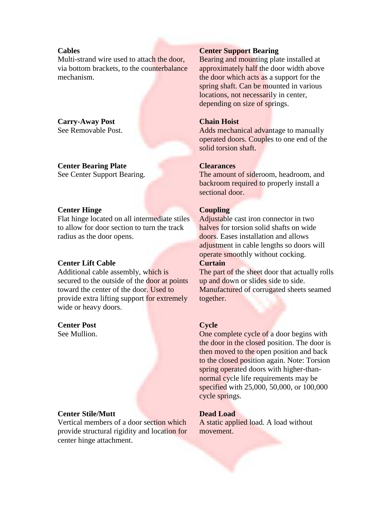## **Cables**

Multi-strand wire used to attach the door. via bottom brackets, to the counterbalance mechanism.

#### **Carry-Away Post**  See Removable Post.

# **Center Bearing Plate**

See Center Support Bearing.

#### **Center Hinge**

Flat hinge located on all intermediate stiles to allow for door section to turn the track radius as the door opens.

#### **Center Lift Cable**

Additional cable assembly, which is secured to the outside of the door at points toward the center of the door. Used to provide extra lifting support for extremely wide or heavy doors.

### **Center Post**

See Mullion.

#### **Center Stile/Mutt**

Vertical members of a door section which provide structural rigidity and location for center hinge attachment.

#### **Center Support Bearing**

Bearing and mounting plate installed at approximately half the door width above the door which acts as a support for the spring shaft. Can be mounted in various locations, not necessarily in center, depending on size of springs.

#### **Chain Hoist**

Adds mechanical advantage to manually operated doors. Couples to one end of the solid torsion shaft.

#### **Clearances**

The amount of sideroom, headroom, and backroom required to properly install a sectional door.

#### **Coupling**

Adjustable cast iron connector in two halves for torsion solid shafts on wide doors. Eases installation and allows adjustment in cable lengths so doors will operate smoothly without cocking. **Curtain** 

The part of the sheet door that actually rolls up and down or slides side to side. Manufactured of corrugated sheets seamed together.

## **Cycle**

One complete cycle of a door begins with the door in the closed position. The door is then moved to the open position and back to the closed position again. Note: Torsion spring operated doors with higher-thannormal cycle life requirements may be specified with 25,000, 50,000, or 100,000 cycle springs.

#### **Dead Load**

A static applied load. A load without movement.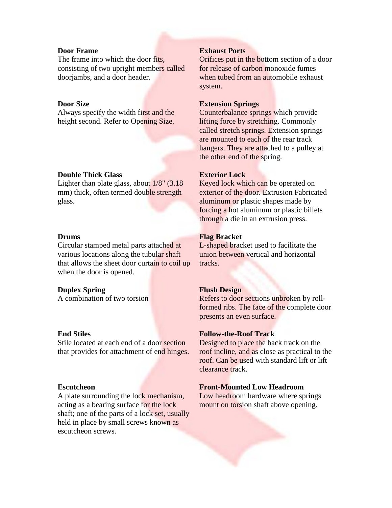## **Door Frame**

The frame into which the door fits. consisting of two upright members called doorjambs, and a door header.

#### **Door Size**

Always specify the width first and the height second. Refer to Opening Size.

#### **Double Thick Glass**

Lighter than plate glass, about 1/8" (3.18 mm) thick, often termed double strength glass.

## **Drums**

Circular stamped metal parts attached at various locations along the tubular shaft that allows the sheet door curtain to coil up when the door is opened.

## **Duplex Spring**

A combination of two torsion

#### **End Stiles**

Stile located at each end of a door section that provides for attachment of end hinges.

#### **Escutcheon**

A plate surrounding the lock mechanism, acting as a bearing surface for the lock shaft; one of the parts of a lock set, usually held in place by small screws known as escutcheon screws.

#### **Exhaust Ports**

Orifices put in the bottom section of a door for release of carbon monoxide fumes when tubed from an automobile exhaust system.

#### **Extension Springs**

Counterbalance springs which provide lifting force by stretching. Commonly called stretch springs. Extension springs are mounted to each of the rear track hangers. They are attached to a pulley at the other end of the spring.

#### **Exterior Lock**

Keyed lock which can be operated on exterior of the door. Extrusion Fabricated aluminum or plastic shapes made by forcing a hot aluminum or plastic billets through a die in an extrusion press.

#### **Flag Bracket**

L-shaped bracket used to facilitate the union between vertical and horizontal tracks.

#### **Flush Design**

Refers to door sections unbroken by rollformed ribs. The face of the complete door presents an even surface.

#### **Follow-the-Roof Track**

Designed to place the back track on the roof incline, and as close as practical to the roof. Can be used with standard lift or lift clearance track.

#### **Front-Mounted Low Headroom**

Low headroom hardware where springs mount on torsion shaft above opening.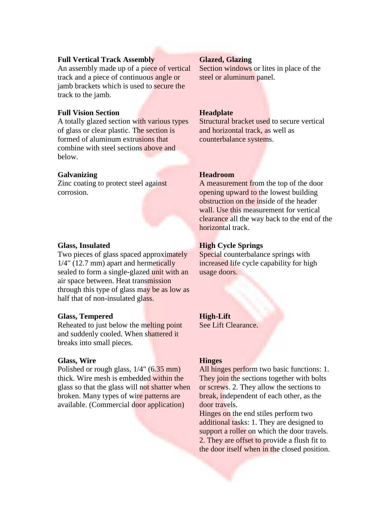#### **Full Vertical Track Assembly**

An assembly made up of a piece of vertical track and a piece of continuous angle or jamb brackets which is used to secure the track to the jamb.

## **Full Vision Section**

A totally glazed section with various types of glass or clear plastic. The section is formed of aluminum extrusions that combine with steel sections above and below.

## **Galvanizing**

Zinc coating to protect steel against corrosion.

#### **Glass, Insulated**

Two pieces of glass spaced approximately 1/4" (12.7 mm) apart and hermetically sealed to form a single-glazed unit with an air space between. Heat transmission through this type of glass may be as low as half that of non-insulated glass.

#### **Glass, Tempered**

Reheated to just below the melting point and suddenly cooled. When shattered it breaks into small pieces.

#### **Glass, Wire**

Polished or rough glass,  $1/4$ " (6.35 mm) thick. Wire mesh is embedded within the glass so that the glass will not shatter when broken. Many types of wire patterns are available. (Commercial door application)

#### **Glazed, Glazing**

Section windows or lites in place of the steel or aluminum panel.

#### **Headplate**

Structural bracket used to secure vertical and horizontal track, as well as counterbalance systems.

#### **Headroom**

A measurement from the top of the door opening upward to the lowest building obstruction on the inside of the header wall. Use this measurement for vertical clearance all the way back to the end of the horizontal track.

#### **High Cycle Springs**

Special counterbalance springs with increased life cycle capability for high usage doors.

#### **High-Lift**

See Lift Clearance.

#### **Hinges**

All hinges perform two basic functions: 1. They join the sections together with bolts or screws. 2. They allow the sections to break, independent of each other, as the door travels.

Hinges on the end stiles perform two additional tasks: 1. They are designed to support a roller on which the door travels. 2. They are offset to provide a flush fit to the door itself when in the closed position.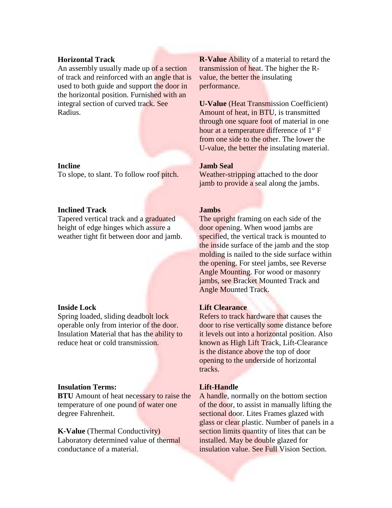#### **Horizontal Track**

An assembly usually made up of a section of track and reinforced with an angle that is used to both guide and support the door in the horizontal position. Furnished with an integral section of curved track. See Radius.

#### **Incline**

To slope, to slant. To follow roof pitch.

#### **Inclined Track**

Tapered vertical track and a graduated height of edge hinges which assure a weather tight fit between door and jamb.

#### **Inside Lock**

Spring loaded, sliding deadbolt lock operable only from interior of the door. Insulation Material that has the ability to reduce heat or cold transmission.

#### **Insulation Terms:**

**BTU** Amount of heat necessary to raise the temperature of one pound of water one degree Fahrenheit.

**K-Value** (Thermal Conductivity) Laboratory determined value of thermal conductance of a material.

**R-Value** Ability of a material to retard the transmission of heat. The higher the Rvalue, the better the insulating performance.

**U-Value** (Heat Transmission Coefficient) Amount of heat, in BTU, is transmitted through one square foot of material in one hour at a temperature difference of 1° F from one side to the other. The lower the U-value, the better the insulating material.

## **Jamb Seal**

Weather-stripping attached to the door jamb to provide a seal along the jambs.

#### **Jambs**

The upright framing on each side of the door opening. When wood jambs are specified, the vertical track is mounted to the inside surface of the jamb and the stop molding is nailed to the side surface within the opening. For steel jambs, see Reverse Angle Mounting. For wood or masonry jambs, see Bracket Mounted Track and Angle Mounted Track.

#### **Lift Clearance**

Refers to track hardware that causes the door to rise vertically some distance before it levels out into a horizontal position. Also known as High Lift Track, Lift-Clearance is the distance above the top of door opening to the underside of horizontal tracks.

#### **Lift-Handle**

A handle, normally on the bottom section of the door, to assist in manually lifting the sectional door. Lites Frames glazed with glass or clear plastic. Number of panels in a section limits quantity of lites that can be installed. May be double glazed for insulation value. See Full Vision Section.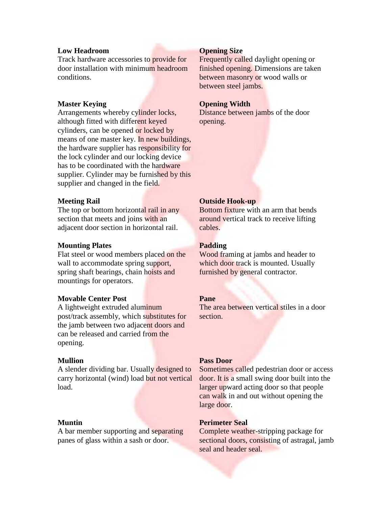#### **Low Headroom**

Track hardware accessories to provide for door installation with minimum headroom conditions.

## **Master Keying**

Arrangements whereby cylinder locks, although fitted with different keyed cylinders, can be opened or locked by means of one master key. In new buildings, the hardware supplier has responsibility for the lock cylinder and our locking device has to be coordinated with the hardware supplier. Cylinder may be furnished by this supplier and changed in the field.

## **Meeting Rail**

The top or bottom horizontal rail in any section that meets and joins with an adjacent door section in horizontal rail.

#### **Mounting Plates**

Flat steel or wood members placed on the wall to accommodate spring support, spring shaft bearings, chain hoists and mountings for operators.

## **Movable Center Post**

A lightweight extruded aluminum post/track assembly, which substitutes for the jamb between two adjacent doors and can be released and carried from the opening.

## **Mullion**

A slender dividing bar. Usually designed to carry horizontal (wind) load but not vertical load.

#### **Muntin**

A bar member supporting and separating panes of glass within a sash or door.

#### **Opening Size**

Frequently called daylight opening or finished opening. Dimensions are taken between masonry or wood walls or between steel jambs.

#### **Opening Width**

Distance between jambs of the door opening.

## **Outside Hook-up**

Bottom fixture with an arm that bends around vertical track to receive lifting cables.

#### **Padding**

Wood framing at jambs and header to which door track is mounted. Usually furnished by general contractor.

#### **Pane**

The area between vertical stiles in a door section.

#### **Pass Door**

Sometimes called pedestrian door or access door. It is a small swing door built into the larger upward acting door so that people can walk in and out without opening the large door.

#### **Perimeter Seal**

Complete weather-stripping package for sectional doors, consisting of astragal, jamb seal and header seal.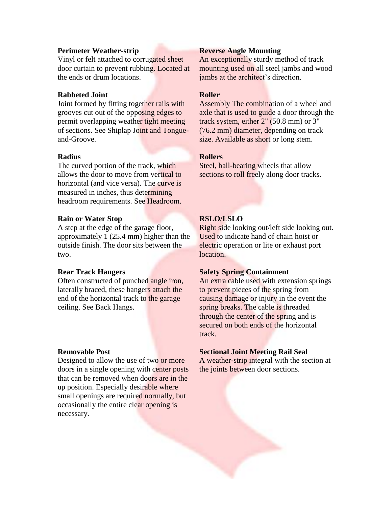#### **Perimeter Weather-strip**

Vinyl or felt attached to corrugated sheet door curtain to prevent rubbing. Located at the ends or drum locations.

## **Rabbeted Joint**

Joint formed by fitting together rails with grooves cut out of the opposing edges to permit overlapping weather tight meeting of sections. See Shiplap Joint and Tongueand-Groove.

#### **Radius**

The curved portion of the track, which allows the door to move from vertical to horizontal (and vice versa). The curve is measured in inches, thus determining headroom requirements. See Headroom.

#### **Rain or Water Stop**

A step at the edge of the garage floor, approximately 1 (25.4 mm) higher than the outside finish. The door sits between the two.

#### **Rear Track Hangers**

Often constructed of punched angle iron, laterally braced, these hangers attach the end of the horizontal track to the garage ceiling. See Back Hangs.

#### **Removable Post**

Designed to allow the use of two or more doors in a single opening with center posts that can be removed when doors are in the up position. Especially desirable where small openings are required normally, but occasionally the entire clear opening is necessary.

#### **Reverse Angle Mounting**

An exceptionally sturdy method of track mounting used on all steel jambs and wood jambs at the architect's direction.

## **Roller**

Assembly The combination of a wheel and axle that is used to guide a door through the track system, either 2" (50.8 mm) or 3" (76.2 mm) diameter, depending on track size. Available as short or long stem.

#### **Rollers**

Steel, ball-bearing wheels that allow sections to roll freely along door tracks.

## **RSLO/LSLO**

Right side looking out/left side looking out. Used to indicate hand of chain hoist or electric operation or lite or exhaust port location.

# **Safety Spring Containment**

An extra cable used with extension springs to prevent pieces of the spring from causing damage or injury in the event the spring breaks. The cable is threaded through the center of the spring and is secured on both ends of the horizontal track.

#### **Sectional Joint Meeting Rail Seal**

A weather-strip integral with the section at the joints between door sections.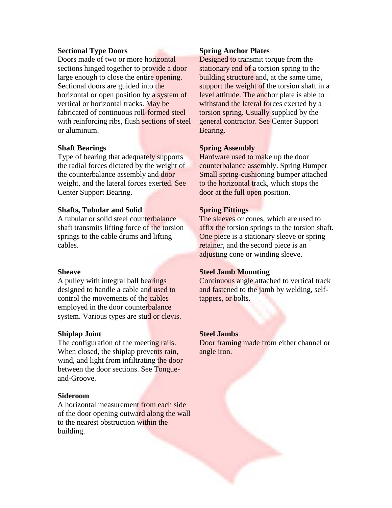#### **Sectional Type Doors**

Doors made of two or more horizontal sections hinged together to provide a door large enough to close the entire opening. Sectional doors are guided into the horizontal or open position by a system of vertical or horizontal tracks. May be fabricated of continuous roll-formed steel with reinforcing ribs, flush sections of steel or aluminum.

#### **Shaft Bearings**

Type of bearing that adequately supports the radial forces dictated by the weight of the counterbalance assembly and door weight, and the lateral forces exerted. See Center Support Bearing.

#### **Shafts, Tubular and Solid**

A tubular or solid steel counterbalance shaft transmits lifting force of the torsion springs to the cable drums and lifting cables.

#### **Sheave**

A pulley with integral ball bearings designed to handle a cable and used to control the movements of the cables employed in the door counterbalance system. Various types are stud or clevis.

#### **Shiplap Joint**

The configuration of the meeting rails. When closed, the shiplap prevents rain, wind, and light from infiltrating the door between the door sections. See Tongueand-Groove.

#### **Sideroom**

A horizontal measurement from each side of the door opening outward along the wall to the nearest obstruction within the building.

#### **Spring Anchor Plates**

Designed to transmit torque from the stationary end of a torsion spring to the building structure and, at the same time, support the weight of the torsion shaft in a level attitude. The anchor plate is able to withstand the lateral forces exerted by a torsion spring. Usually supplied by the general contractor. See Center Support Bearing.

#### **Spring Assembly**

Hardware used to make up the door counterbalance assembly. Spring Bumper Small spring-cushioning bumper attached to the horizontal track, which stops the door at the full open position.

#### **Spring Fittings**

The sleeves or cones, which are used to affix the torsion springs to the torsion shaft. One piece is a stationary sleeve or spring retainer, and the second piece is an adjusting cone or winding sleeve.

#### **Steel Jamb Mounting**

Continuous angle attached to vertical track and fastened to the jamb by welding, selftappers, or bolts.

#### **Steel Jambs**

Door framing made from either channel or angle iron.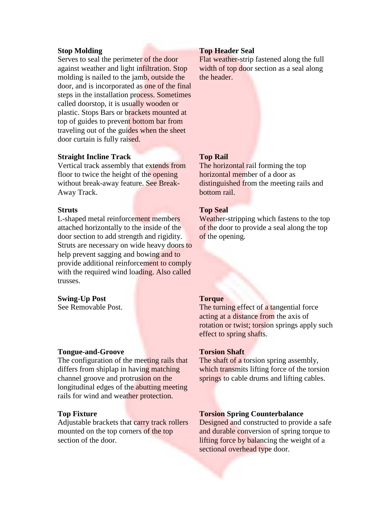#### **Stop Molding**

Serves to seal the perimeter of the door against weather and light infiltration. Stop molding is nailed to the jamb, outside the door, and is incorporated as one of the final steps in the installation process. Sometimes called doorstop, it is usually wooden or plastic. Stops Bars or brackets mounted at top of guides to prevent bottom bar from traveling out of the guides when the sheet door curtain is fully raised.

#### **Straight Incline Track**

Vertical track assembly that extends from floor to twice the height of the opening without break-away feature. See Break-Away Track.

#### **Struts**

L-shaped metal reinforcement members attached horizontally to the inside of the door section to add strength and rigidity. Struts are necessary on wide heavy doors to help prevent sagging and bowing and to provide additional reinforcement to comply with the required wind loading. Also called trusses.

#### **Swing-Up Post**

See Removable Post.

#### **Tongue-and-Groove**

The configuration of the meeting rails that differs from shiplap in having matching channel groove and protrusion on the longitudinal edges of the abutting meeting rails for wind and weather protection.

#### **Top Fixture**

Adjustable brackets that carry track rollers mounted on the top corners of the top section of the door.

#### **Top Header Seal**

Flat weather-strip fastened along the full width of top door section as a seal along the header.

#### **Top Rail**

The horizontal rail forming the top horizontal member of a door as distinguished from the meeting rails and bottom rail.

#### **Top Seal**

Weather-stripping which fastens to the top of the door to provide a seal along the top of the opening.

#### **Torque**

The turning effect of a tangential force acting at a distance from the axis of rotation or twist; torsion springs apply such effect to spring shafts.

#### **Torsion Shaft**

The shaft of a torsion spring assembly, which transmits lifting force of the torsion springs to cable drums and lifting cables.

#### **Torsion Spring Counterbalance**

Designed and constructed to provide a safe and durable conversion of spring torque to lifting force by balancing the weight of a sectional overhead type door.